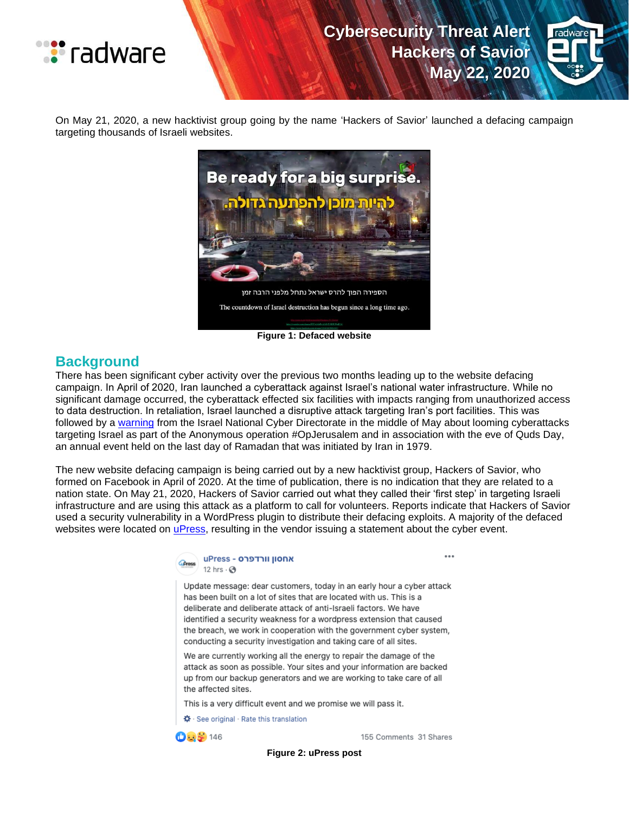



On May 21, 2020, a new hacktivist group going by the name 'Hackers of Savior' launched a defacing campaign targeting thousands of Israeli websites.



**Figure 1: Defaced website**

### **Background**

There has been significant cyber activity over the previous two months leading up to the website defacing campaign. In April of 2020, Iran launched a cyberattack against Israel's national water infrastructure. While no significant damage occurred, the cyberattack effected six facilities with impacts ranging from unauthorized access to data destruction. In retaliation, Israel launched a disruptive attack targeting Iran's port facilities. This was followed by a [warning](https://www.ynet.co.il/digital/technews/article/SyEjc2c9L) from the Israel National Cyber Directorate in the middle of May about looming cyberattacks targeting Israel as part of the Anonymous operation #OpJerusalem and in association with the eve of Quds Day, an annual event held on the last day of Ramadan that was initiated by Iran in 1979.

The new website defacing campaign is being carried out by a new hacktivist group, Hackers of Savior, who formed on Facebook in April of 2020. At the time of publication, there is no indication that they are related to a nation state. On May 21, 2020, Hackers of Savior carried out what they called their 'first step' in targeting Israeli infrastructure and are using this attack as a platform to call for volunteers. Reports indicate that Hackers of Savior used a security vulnerability in a WordPress plugin to distribute their defacing exploits. A majority of the defaced websites were located on *uPress*, resulting in the vendor issuing a statement about the cyber event.

#### אחסון וורדפרס - uPress 12 hrs  $\cdot$   $\odot$

Update message: dear customers, today in an early hour a cyber attack has been built on a lot of sites that are located with us. This is a deliberate and deliberate attack of anti-Israeli factors. We have identified a security weakness for a wordpress extension that caused the breach, we work in cooperation with the government cyber system, conducting a security investigation and taking care of all sites.

We are currently working all the energy to repair the damage of the attack as soon as possible. Your sites and your information are backed up from our backup generators and we are working to take care of all the affected sites.

This is a very difficult event and we promise we will pass it.

☆ See original · Rate this translation

 $0.5146$ 

155 Comments 31 Shares

...

**Figure 2: uPress post**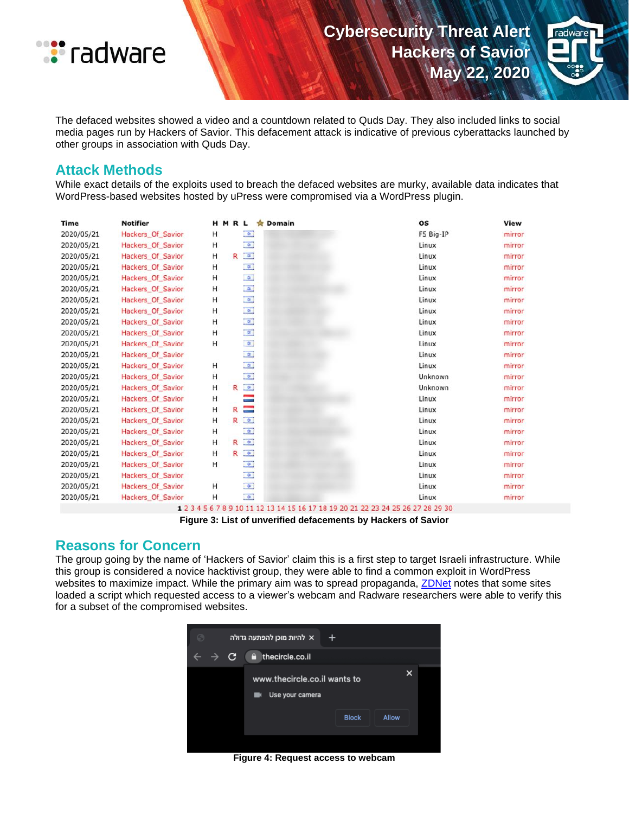



The defaced websites showed a video and a countdown related to Quds Day. They also included links to social media pages run by Hackers of Savior. This defacement attack is indicative of previous cyberattacks launched by other groups in association with Quds Day.

#### **Attack Methods**

While exact details of the exploits used to breach the defaced websites are murky, available data indicates that WordPress-based websites hosted by uPress were compromised via a WordPress plugin.

| <b>Time</b> | <b>Notifier</b>   | HMRL |   |                                    | <b>SIT</b> | Domain | <b>OS</b> | View   |
|-------------|-------------------|------|---|------------------------------------|------------|--------|-----------|--------|
| 2020/05/21  | Hackers Of Savior | н    |   | $\bullet$                          |            |        | F5 Big-IP | mirror |
| 2020/05/21  | Hackers Of Savior | н    |   | $\phi$                             |            |        | Linux     | mirror |
| 2020/05/21  | Hackers Of Savior | н    | R | $\sigma$                           |            |        | Linux     | mirror |
| 2020/05/21  | Hackers Of Savior | Н    |   | $\frac{1}{\mathbf{Q}}$             |            |        | Linux     | mirror |
| 2020/05/21  | Hackers Of Savior | н    |   | $\phi$                             |            |        | Linux     | mirror |
| 2020/05/21  | Hackers Of Savior | н    |   | $\ddot{\phi}$                      |            |        | Linux     | mirror |
| 2020/05/21  | Hackers Of Savior | н    |   | $\phi$                             |            |        | Linux     | mirror |
| 2020/05/21  | Hackers Of Savior | н    |   | $\frac{1}{\mathcal{R}}$            |            |        | Linux     | mirror |
| 2020/05/21  | Hackers Of Savior | н    |   | $\left\vert \phi \right\rangle$    |            |        | Linux     | mirror |
| 2020/05/21  | Hackers Of Savior | н    |   | $\hat{\mathbf{v}}$                 |            |        | Linux     | mirror |
| 2020/05/21  | Hackers Of Savior | н    |   | $\phi$                             |            |        | Linux     | mirror |
| 2020/05/21  | Hackers Of Savior |      |   | $\phi$                             |            |        | Linux     | mirror |
| 2020/05/21  | Hackers Of Savior | Н    |   | $\frac{1}{\mathcal{R}}$            |            |        | Linux     | mirror |
| 2020/05/21  | Hackers Of Savior | н    |   | $\phi$                             |            |        | Unknown   | mirror |
| 2020/05/21  | Hackers Of Savior | н    | R | $\mathfrak{D}$                     |            |        | Unknown   | mirror |
| 2020/05/21  | Hackers Of Savior | Н    |   | $\equiv$                           |            |        | Linux     | mirror |
| 2020/05/21  | Hackers Of Savior | Н    | R | ⊟                                  |            |        | Linux     | mirror |
| 2020/05/21  | Hackers Of Savior | н    | R | $\left\vert \Phi\right\vert$       |            |        | Linux     | mirror |
| 2020/05/21  | Hackers Of Savior | Η    |   | $\phi$                             |            |        | Linux     | mirror |
| 2020/05/21  | Hackers Of Savior | н    | R | $\hat{\mathbf{p}}$                 |            |        | Linux     | mirror |
| 2020/05/21  | Hackers Of Savior | н    | R | $\ddot{\phi}$                      |            |        | Linux     | mirror |
| 2020/05/21  | Hackers Of Savior | н    |   | $\phi$                             |            |        | Linux     | mirror |
| 2020/05/21  | Hackers Of Savior |      |   | $\phi$                             |            |        | Linux     | mirror |
| 2020/05/21  | Hackers Of Savior | н    |   | $\phi$                             |            |        | Linux     | mirror |
| 2020/05/21  | Hackers Of Savior | Н    |   | $\left\vert \mathbf{Q}\right\vert$ |            |        | Linux     | mirror |

1 2 3 4 5 6 7 8 9 10 11 12 13 14 15 16 17 18 19 20 21 22 23 24 25 26 27 28 29 30

#### **Figure 3: List of unverified defacements by Hackers of Savior**

#### **Reasons for Concern**

The group going by the name of 'Hackers of Savior' claim this is a first step to target Israeli infrastructure. While this group is considered a novice hacktivist group, they were able to find a common exploit in WordPress websites to maximize impact. While the primary aim was to spread propaganda, [ZDNet](https://www.zdnet.com/article/thousands-of-israeli-sites-defaced-with-code-seeking-permission-to-access-users-webcams/) notes that some sites loaded a script which requested access to a viewer's webcam and Radware researchers were able to verify this for a subset of the compromised websites.



**Figure 4: Request access to webcam**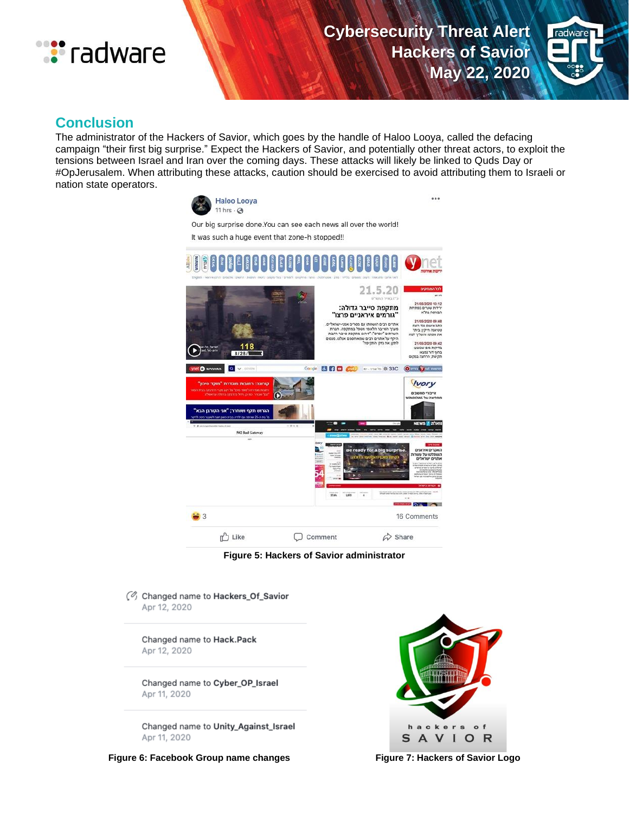



## **Conclusion**

The administrator of the Hackers of Savior, which goes by the handle of Haloo Looya, called the defacing campaign "their first big surprise." Expect the Hackers of Savior, and potentially other threat actors, to exploit the tensions between Israel and Iran over the coming days. These attacks will likely be linked to Quds Day or #OpJerusalem. When attributing these attacks, caution should be exercised to avoid attributing them to Israeli or nation state operators.





C Changed name to Hackers\_Of\_Savior Apr 12, 2020

Changed name to Hack.Pack Apr 12, 2020

Changed name to Cyber\_OP\_Israel Apr 11, 2020

Changed name to Unity\_Against\_Israel Apr 11, 2020